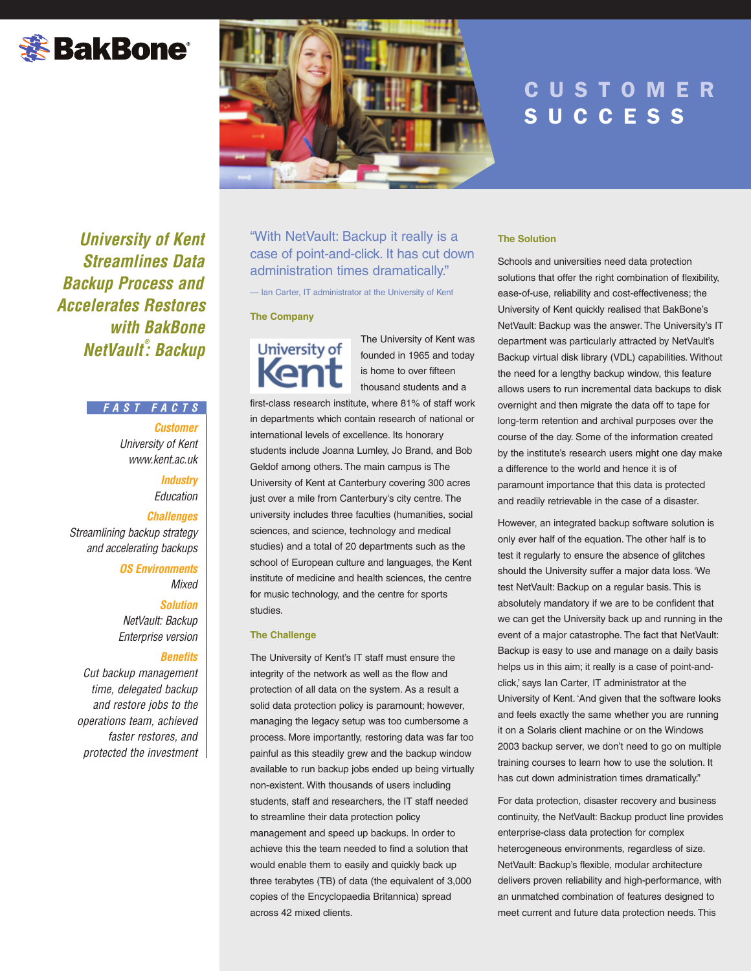# **※BakBone**®



# **CUSTOMER** UCCES

*University of Kent Streamlines Data Backup Process and Accelerates Restores with BakBone NetVault ® : Backup*

# *FAST FACTS*

*Customer University of Kent www.kent.ac.uk*

> *Industry Education Challenges*

*Streamlining backup strategy and accelerating backups*

> *OS Environments Mixed*

*Solution NetVault: Backup Enterprise version*

### *Benefits*

*Cut backup management time, delegated backup and restore jobs to the operations team, achieved faster restores, and protected the investment* "With NetVault: Backup it really is a case of point-and-click. It has cut down administration times dramatically."

— Ian Carter, IT administrator at the University of Kent

### **The Company**

# University of **Ken**

The University of Kent was founded in 1965 and today is home to over fifteen thousand students and a

first-class research institute, where 81% of staff work in departments which contain research of national or international levels of excellence. Its honorary students include Joanna Lumley, Jo Brand, and Bob Geldof among others. The main campus is The University of Kent at Canterbury covering 300 acres just over a mile from Canterbury's city centre. The university includes three faculties (humanities, social sciences, and science, technology and medical studies) and a total of 20 departments such as the school of European culture and languages, the Kent institute of medicine and health sciences, the centre for music technology, and the centre for sports studies.

# **The Challenge**

The University of Kent's IT staff must ensure the integrity of the network as well as the flow and protection of all data on the system. As a result a solid data protection policy is paramount; however, managing the legacy setup was too cumbersome a process. More importantly, restoring data was far too painful as this steadily grew and the backup window available to run backup jobs ended up being virtually non-existent. With thousands of users including students, staff and researchers, the IT staff needed to streamline their data protection policy management and speed up backups. In order to achieve this the team needed to find a solution that would enable them to easily and quickly back up three terabytes (TB) of data (the equivalent of 3,000 copies of the Encyclopaedia Britannica) spread across 42 mixed clients.

# **The Solution**

Schools and universities need data protection solutions that offer the right combination of flexibility, ease-of-use, reliability and cost-effectiveness; the University of Kent quickly realised that BakBone's NetVault: Backup was the answer. The University's IT department was particularly attracted by NetVault's Backup virtual disk library (VDL) capabilities. Without the need for a lengthy backup window, this feature allows users to run incremental data backups to disk overnight and then migrate the data off to tape for long-term retention and archival purposes over the course of the day. Some of the information created by the institute's research users might one day make a difference to the world and hence it is of paramount importance that this data is protected and readily retrievable in the case of a disaster.

However, an integrated backup software solution is only ever half of the equation. The other half is to test it regularly to ensure the absence of glitches should the University suffer a major data loss. 'We test NetVault: Backup on a regular basis. This is absolutely mandatory if we are to be confident that we can get the University back up and running in the event of a major catastrophe. The fact that NetVault: Backup is easy to use and manage on a daily basis helps us in this aim; it really is a case of point-andclick,' says Ian Carter, IT administrator at the University of Kent. 'And given that the software looks and feels exactly the same whether you are running it on a Solaris client machine or on the Windows 2003 backup server, we don't need to go on multiple training courses to learn how to use the solution. It has cut down administration times dramatically."

For data protection, disaster recovery and business continuity, the NetVault: Backup product line provides enterprise-class data protection for complex heterogeneous environments, regardless of size. NetVault: Backup's flexible, modular architecture delivers proven reliability and high-performance, with an unmatched combination of features designed to meet current and future data protection needs. This